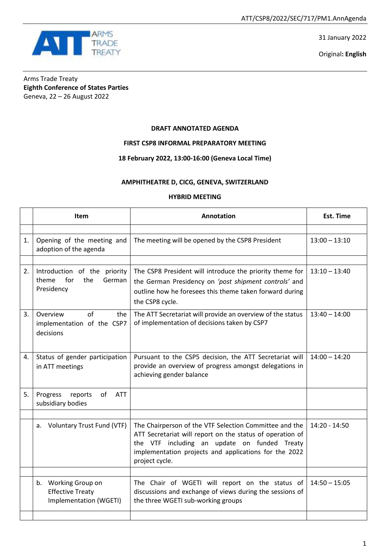31 January 2022

Original**: English**



Arms Trade Treaty **Eighth Conference of States Parties** Geneva, 22 – 26 August 2022

## **DRAFT ANNOTATED AGENDA**

**FIRST CSP8 INFORMAL PREPARATORY MEETING**

## **18 February 2022, 13:00-16:00 (Geneva Local Time)**

## **AMPHITHEATRE D, CICG, GENEVA, SWITZERLAND**

## **HYBRID MEETING**

|    | Item                                                                        | Annotation                                                                                                                                                                                                                                     | <b>Est. Time</b> |
|----|-----------------------------------------------------------------------------|------------------------------------------------------------------------------------------------------------------------------------------------------------------------------------------------------------------------------------------------|------------------|
|    |                                                                             |                                                                                                                                                                                                                                                |                  |
| 1. | Opening of the meeting and<br>adoption of the agenda                        | The meeting will be opened by the CSP8 President                                                                                                                                                                                               | $13:00 - 13:10$  |
|    |                                                                             |                                                                                                                                                                                                                                                |                  |
| 2. | Introduction of the priority<br>theme<br>for<br>the<br>German<br>Presidency | The CSP8 President will introduce the priority theme for<br>the German Presidency on 'post shipment controls' and<br>outline how he foresees this theme taken forward during<br>the CSP8 cycle.                                                | $13:10 - 13:40$  |
| 3. | Overview<br>of<br>the<br>implementation of the CSP7<br>decisions            | The ATT Secretariat will provide an overview of the status<br>of implementation of decisions taken by CSP7                                                                                                                                     | $13:40 - 14:00$  |
| 4. | Status of gender participation<br>in ATT meetings                           | Pursuant to the CSP5 decision, the ATT Secretariat will<br>provide an overview of progress amongst delegations in<br>achieving gender balance                                                                                                  | $14:00 - 14:20$  |
| 5. | of<br>Progress<br>reports<br><b>ATT</b><br>subsidiary bodies                |                                                                                                                                                                                                                                                |                  |
|    |                                                                             |                                                                                                                                                                                                                                                |                  |
|    | <b>Voluntary Trust Fund (VTF)</b><br>a.                                     | The Chairperson of the VTF Selection Committee and the<br>ATT Secretariat will report on the status of operation of<br>the VTF including an update on funded Treaty<br>implementation projects and applications for the 2022<br>project cycle. | 14:20 - 14:50    |
|    |                                                                             |                                                                                                                                                                                                                                                |                  |
|    | b. Working Group on<br><b>Effective Treaty</b><br>Implementation (WGETI)    | The Chair of WGETI will report on the status of<br>discussions and exchange of views during the sessions of<br>the three WGETI sub-working groups                                                                                              | $14:50 - 15:05$  |
|    |                                                                             |                                                                                                                                                                                                                                                |                  |